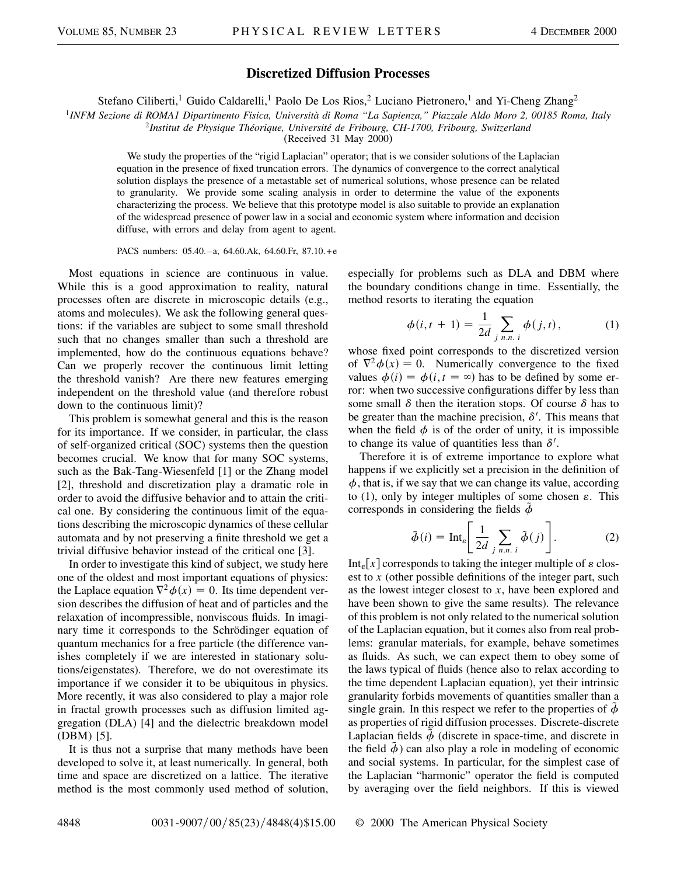## **Discretized Diffusion Processes**

Stefano Ciliberti,<sup>1</sup> Guido Caldarelli,<sup>1</sup> Paolo De Los Rios,<sup>2</sup> Luciano Pietronero,<sup>1</sup> and Yi-Cheng Zhang<sup>2</sup>

<sup>1</sup>*INFM Sezione di ROMA1 Dipartimento Fisica, Università di Roma "La Sapienza," Piazzale Aldo Moro 2, 00185 Roma, Italy*

<sup>2</sup>*Institut de Physique Théorique, Université de Fribourg, CH-1700, Fribourg, Switzerland*

(Received 31 May 2000)

We study the properties of the "rigid Laplacian" operator; that is we consider solutions of the Laplacian equation in the presence of fixed truncation errors. The dynamics of convergence to the correct analytical solution displays the presence of a metastable set of numerical solutions, whose presence can be related to granularity. We provide some scaling analysis in order to determine the value of the exponents characterizing the process. We believe that this prototype model is also suitable to provide an explanation of the widespread presence of power law in a social and economic system where information and decision diffuse, with errors and delay from agent to agent.

PACS numbers: 05.40.–a, 64.60.Ak, 64.60.Fr, 87.10.+e

Most equations in science are continuous in value. While this is a good approximation to reality, natural processes often are discrete in microscopic details (e.g., atoms and molecules). We ask the following general questions: if the variables are subject to some small threshold such that no changes smaller than such a threshold are implemented, how do the continuous equations behave? Can we properly recover the continuous limit letting the threshold vanish? Are there new features emerging independent on the threshold value (and therefore robust down to the continuous limit)?

This problem is somewhat general and this is the reason for its importance. If we consider, in particular, the class of self-organized critical (SOC) systems then the question becomes crucial. We know that for many SOC systems, such as the Bak-Tang-Wiesenfeld [1] or the Zhang model [2], threshold and discretization play a dramatic role in order to avoid the diffusive behavior and to attain the critical one. By considering the continuous limit of the equations describing the microscopic dynamics of these cellular automata and by not preserving a finite threshold we get a trivial diffusive behavior instead of the critical one [3].

In order to investigate this kind of subject, we study here one of the oldest and most important equations of physics: the Laplace equation  $\nabla^2 \phi(x) = 0$ . Its time dependent version describes the diffusion of heat and of particles and the relaxation of incompressible, nonviscous fluids. In imaginary time it corresponds to the Schrödinger equation of quantum mechanics for a free particle (the difference vanishes completely if we are interested in stationary solutions/eigenstates). Therefore, we do not overestimate its importance if we consider it to be ubiquitous in physics. More recently, it was also considered to play a major role in fractal growth processes such as diffusion limited aggregation (DLA) [4] and the dielectric breakdown model (DBM) [5].

It is thus not a surprise that many methods have been developed to solve it, at least numerically. In general, both time and space are discretized on a lattice. The iterative method is the most commonly used method of solution, especially for problems such as DLA and DBM where the boundary conditions change in time. Essentially, the method resorts to iterating the equation

$$
\phi(i, t + 1) = \frac{1}{2d} \sum_{j \ n.n. i} \phi(j, t), \tag{1}
$$

whose fixed point corresponds to the discretized version of  $\nabla^2 \phi(x) = 0$ . Numerically convergence to the fixed values  $\phi(i) = \phi(i, t = \infty)$  has to be defined by some error: when two successive configurations differ by less than some small  $\delta$  then the iteration stops. Of course  $\delta$  has to be greater than the machine precision,  $\delta'$ . This means that when the field  $\phi$  is of the order of unity, it is impossible to change its value of quantities less than  $\delta'$ .

Therefore it is of extreme importance to explore what happens if we explicitly set a precision in the definition of  $\phi$ , that is, if we say that we can change its value, according to (1), only by integer multiples of some chosen  $\varepsilon$ . This corresponds in considering the fields  $\phi$ 

$$
\tilde{\phi}(i) = \text{Int}_{\varepsilon} \left[ \frac{1}{2d} \sum_{j \ n.n. \ i} \tilde{\phi}(j) \right]. \tag{2}
$$

Int<sub> $\epsilon$ </sub>[x] corresponds to taking the integer multiple of  $\epsilon$  closest to *x* (other possible definitions of the integer part, such as the lowest integer closest to *x*, have been explored and have been shown to give the same results). The relevance of this problem is not only related to the numerical solution of the Laplacian equation, but it comes also from real problems: granular materials, for example, behave sometimes as fluids. As such, we can expect them to obey some of the laws typical of fluids (hence also to relax according to the time dependent Laplacian equation), yet their intrinsic granularity forbids movements of quantities smaller than a single grain. In this respect we refer to the properties of  $\phi$ as properties of rigid diffusion processes. Discrete-discrete Laplacian fields  $\ddot{\phi}$  (discrete in space-time, and discrete in the field  $\ddot{\phi}$  ) can also play a role in modeling of economic and social systems. In particular, for the simplest case of the Laplacian "harmonic" operator the field is computed by averaging over the field neighbors. If this is viewed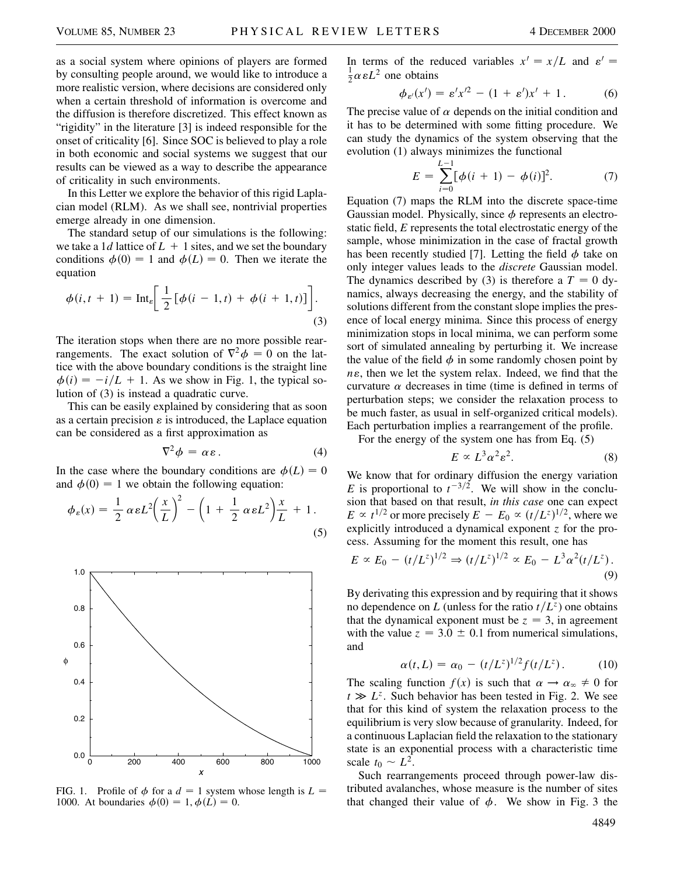as a social system where opinions of players are formed by consulting people around, we would like to introduce a more realistic version, where decisions are considered only when a certain threshold of information is overcome and the diffusion is therefore discretized. This effect known as "rigidity" in the literature [3] is indeed responsible for the onset of criticality [6]. Since SOC is believed to play a role in both economic and social systems we suggest that our results can be viewed as a way to describe the appearance of criticality in such environments.

In this Letter we explore the behavior of this rigid Laplacian model (RLM). As we shall see, nontrivial properties emerge already in one dimension.

The standard setup of our simulations is the following: we take a 1*d* lattice of  $L + 1$  sites, and we set the boundary conditions  $\phi(0) = 1$  and  $\phi(L) = 0$ . Then we iterate the equation

$$
\phi(i, t + 1) = \text{Int}_{\varepsilon} \left[ \frac{1}{2} \left[ \phi(i - 1, t) + \phi(i + 1, t) \right] \right].
$$
\n(3)

The iteration stops when there are no more possible rearrangements. The exact solution of  $\nabla^2 \phi = 0$  on the lattice with the above boundary conditions is the straight line  $\phi(i) = -i/L + 1$ . As we show in Fig. 1, the typical solution of (3) is instead a quadratic curve.

This can be easily explained by considering that as soon as a certain precision  $\varepsilon$  is introduced, the Laplace equation can be considered as a first approximation as

$$
\nabla^2 \phi = \alpha \varepsilon. \tag{4}
$$

In the case where the boundary conditions are  $\phi(L) = 0$ and  $\phi(0) = 1$  we obtain the following equation:

$$
\phi_{\varepsilon}(x) = \frac{1}{2} \alpha \varepsilon L^2 \left(\frac{x}{L}\right)^2 - \left(1 + \frac{1}{2} \alpha \varepsilon L^2\right) \frac{x}{L} + 1.
$$
\n(5)



FIG. 1. Profile of  $\phi$  for a  $d = 1$  system whose length is  $L =$ 1000. At boundaries  $\phi(0) = 1, \phi(L) = 0$ .

In terms of the reduced variables  $x' = x/L$  and  $\varepsilon' =$  $\frac{1}{2}\alpha \varepsilon L^2$  one obtains

$$
\phi_{\varepsilon'}(x') = \varepsilon' x'^2 - (1 + \varepsilon')x' + 1. \tag{6}
$$

The precise value of  $\alpha$  depends on the initial condition and it has to be determined with some fitting procedure. We can study the dynamics of the system observing that the evolution (1) always minimizes the functional

$$
E = \sum_{i=0}^{L-1} [\phi(i+1) - \phi(i)]^2.
$$
 (7)

Equation (7) maps the RLM into the discrete space-time Gaussian model. Physically, since  $\phi$  represents an electrostatic field, *E* represents the total electrostatic energy of the sample, whose minimization in the case of fractal growth has been recently studied [7]. Letting the field  $\phi$  take on only integer values leads to the *discrete* Gaussian model. The dynamics described by (3) is therefore a  $T = 0$  dynamics, always decreasing the energy, and the stability of solutions different from the constant slope implies the presence of local energy minima. Since this process of energy minimization stops in local minima, we can perform some sort of simulated annealing by perturbing it. We increase the value of the field  $\phi$  in some randomly chosen point by  $n\epsilon$ , then we let the system relax. Indeed, we find that the curvature  $\alpha$  decreases in time (time is defined in terms of perturbation steps; we consider the relaxation process to be much faster, as usual in self-organized critical models). Each perturbation implies a rearrangement of the profile.

For the energy of the system one has from Eq. (5)

$$
E \propto L^3 \alpha^2 \varepsilon^2. \tag{8}
$$

We know that for ordinary diffusion the energy variation *E* is proportional to  $t^{-3/2}$ . We will show in the conclusion that based on that result, *in this case* one can expect  $E \propto t^{1/2}$  or more precisely  $E - E_0 \propto (t/L^z)^{1/2}$ , where we explicitly introduced a dynamical exponent *z* for the process. Assuming for the moment this result, one has

$$
E \propto E_0 - (t/L^z)^{1/2} \Rightarrow (t/L^z)^{1/2} \propto E_0 - L^3 \alpha^2 (t/L^z).
$$
\n(9)

By derivating this expression and by requiring that it shows no dependence on *L* (unless for the ratio  $t/L^z$ ) one obtains that the dynamical exponent must be  $z = 3$ , in agreement with the value  $z = 3.0 \pm 0.1$  from numerical simulations, and

$$
\alpha(t, L) = \alpha_0 - (t/L^z)^{1/2} f(t/L^z).
$$
 (10)

The scaling function  $f(x)$  is such that  $\alpha \to \alpha_{\infty} \neq 0$  for  $t \gg L^z$ . Such behavior has been tested in Fig. 2. We see that for this kind of system the relaxation process to the equilibrium is very slow because of granularity. Indeed, for a continuous Laplacian field the relaxation to the stationary state is an exponential process with a characteristic time scale  $t_0 \sim L^2$ .

Such rearrangements proceed through power-law distributed avalanches, whose measure is the number of sites that changed their value of  $\phi$ . We show in Fig. 3 the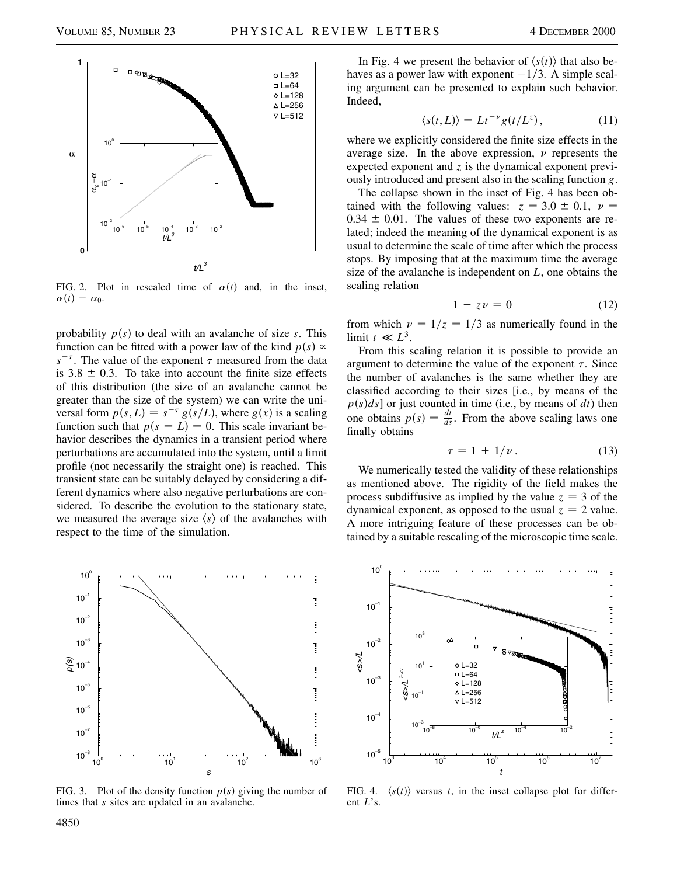

FIG. 2. Plot in rescaled time of  $\alpha(t)$  and, in the inset,  $\alpha(t) - \alpha_0$ .

probability  $p(s)$  to deal with an avalanche of size  $s$ . This function can be fitted with a power law of the kind  $p(s) \propto$  $s^{-\tau}$ . The value of the exponent  $\tau$  measured from the data is  $3.8 \pm 0.3$ . To take into account the finite size effects of this distribution (the size of an avalanche cannot be greater than the size of the system) we can write the universal form  $p(s, L) = s^{-\tau} g(s/L)$ , where  $g(x)$  is a scaling function such that  $p(s = L) = 0$ . This scale invariant behavior describes the dynamics in a transient period where perturbations are accumulated into the system, until a limit profile (not necessarily the straight one) is reached. This transient state can be suitably delayed by considering a different dynamics where also negative perturbations are considered. To describe the evolution to the stationary state, we measured the average size  $\langle s \rangle$  of the avalanches with respect to the time of the simulation.



FIG. 3. Plot of the density function  $p(s)$  giving the number of times that *s* sites are updated in an avalanche.

In Fig. 4 we present the behavior of  $\langle s(t) \rangle$  that also behaves as a power law with exponent  $-1/3$ . A simple scaling argument can be presented to explain such behavior. Indeed,

$$
\langle s(t,L) \rangle = Lt^{-\nu}g(t/L^z), \qquad (11)
$$

where we explicitly considered the finite size effects in the average size. In the above expression,  $\nu$  represents the expected exponent and *z* is the dynamical exponent previously introduced and present also in the scaling function *g*.

The collapse shown in the inset of Fig. 4 has been obtained with the following values:  $z = 3.0 \pm 0.1$ ,  $\nu =$  $0.34 \pm 0.01$ . The values of these two exponents are related; indeed the meaning of the dynamical exponent is as usual to determine the scale of time after which the process stops. By imposing that at the maximum time the average size of the avalanche is independent on *L*, one obtains the scaling relation

$$
1 - z\nu = 0 \tag{12}
$$

from which  $\nu = 1/z = 1/3$  as numerically found in the limit  $t \ll L^3$ .

From this scaling relation it is possible to provide an argument to determine the value of the exponent  $\tau$ . Since the number of avalanches is the same whether they are classified according to their sizes [i.e., by means of the  $p(s)ds$  or just counted in time (i.e., by means of  $dt$ ) then one obtains  $p(s) = \frac{dt}{ds}$ . From the above scaling laws one finally obtains

$$
\tau = 1 + 1/\nu. \tag{13}
$$

We numerically tested the validity of these relationships as mentioned above. The rigidity of the field makes the process subdiffusive as implied by the value  $z = 3$  of the dynamical exponent, as opposed to the usual  $z = 2$  value. A more intriguing feature of these processes can be obtained by a suitable rescaling of the microscopic time scale.



FIG. 4. *st*- $\langle s(t) \rangle$  versus *t*, in the inset collapse plot for different *L*'s.